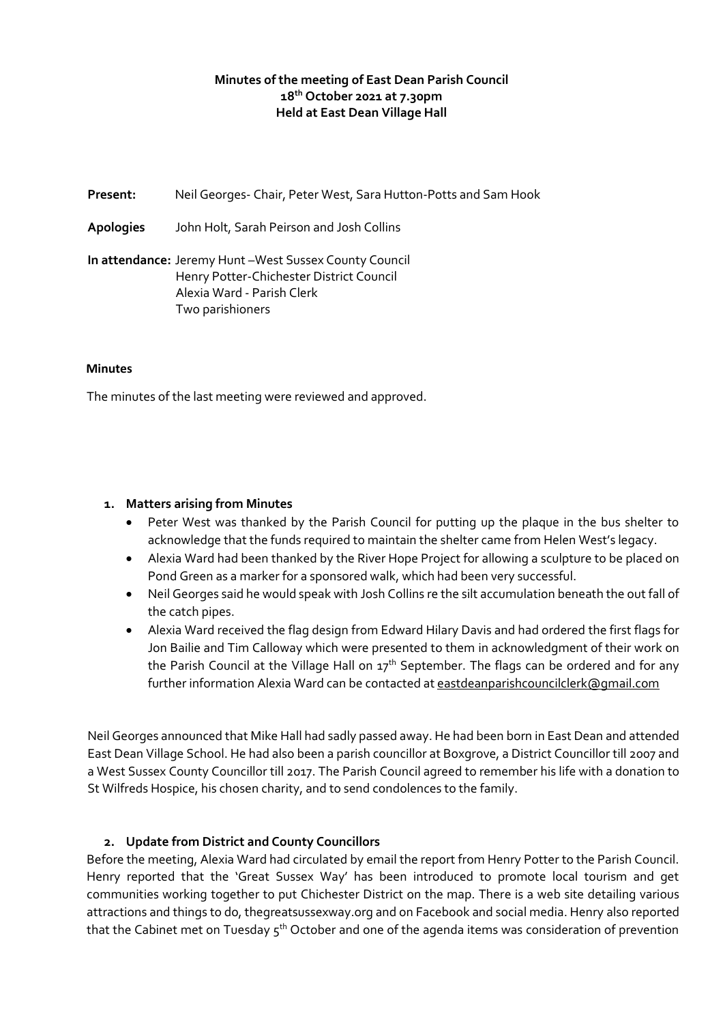### **Minutes of the meeting of East Dean Parish Council 18th October 2021 at 7.30pm Held at East Dean Village Hall**

**Present:** Neil Georges- Chair, Peter West, Sara Hutton-Potts and Sam Hook **Apologies** John Holt, Sarah Peirson and Josh Collins **In attendance:** Jeremy Hunt –West Sussex County Council Henry Potter-Chichester District Council Alexia Ward - Parish Clerk Two parishioners

#### **Minutes**

The minutes of the last meeting were reviewed and approved.

#### **1. Matters arising from Minutes**

- Peter West was thanked by the Parish Council for putting up the plaque in the bus shelter to acknowledge that the funds required to maintain the shelter came from Helen West's legacy.
- Alexia Ward had been thanked by the River Hope Project for allowing a sculpture to be placed on Pond Green as a marker for a sponsored walk, which had been very successful.
- Neil Georges said he would speak with Josh Collins re the silt accumulation beneath the out fall of the catch pipes.
- Alexia Ward received the flag design from Edward Hilary Davis and had ordered the first flags for Jon Bailie and Tim Calloway which were presented to them in acknowledgment of their work on the Parish Council at the Village Hall on 17<sup>th</sup> September. The flags can be ordered and for any further information Alexia Ward can be contacted at eastdeanparishcouncilclerk@qmail.com

Neil Georges announced that Mike Hall had sadly passed away. He had been born in East Dean and attended East Dean Village School. He had also been a parish councillor at Boxgrove, a District Councillor till 2007 and a West Sussex County Councillor till 2017. The Parish Council agreed to remember his life with a donation to St Wilfreds Hospice, his chosen charity, and to send condolences to the family.

#### **2. Update from District and County Councillors**

Before the meeting, Alexia Ward had circulated by email the report from Henry Potter to the Parish Council. Henry reported that the 'Great Sussex Way' has been introduced to promote local tourism and get communities working together to put Chichester District on the map. There is a web site detailing various attractions and things to do, thegreatsussexway.org and on Facebook and social media. Henry also reported that the Cabinet met on Tuesday 5<sup>th</sup> October and one of the agenda items was consideration of prevention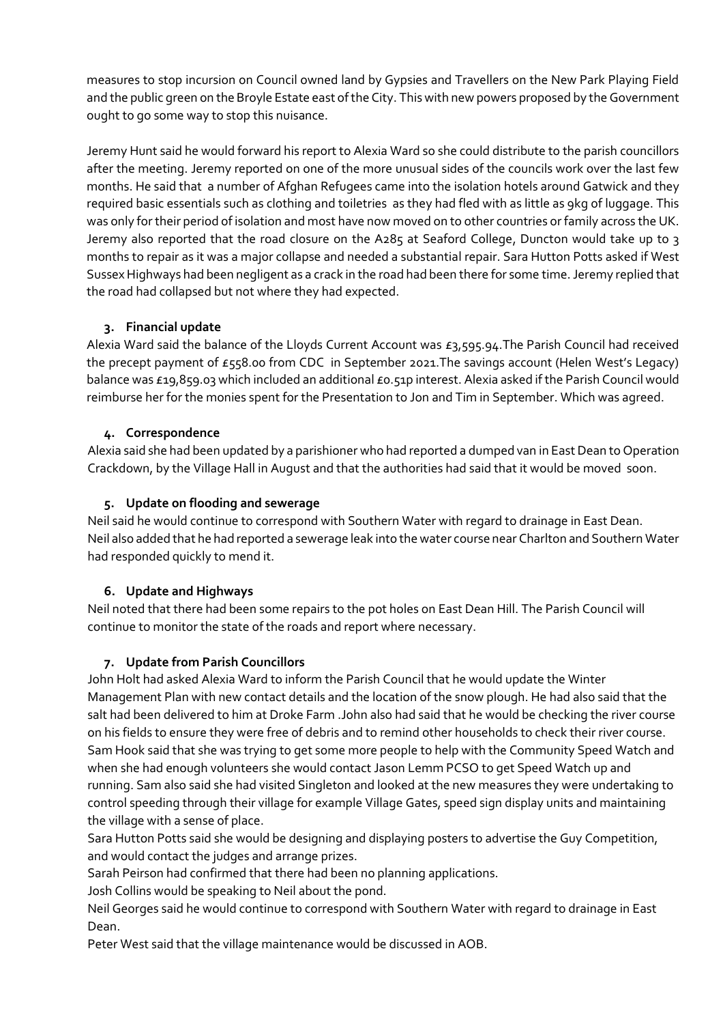measures to stop incursion on Council owned land by Gypsies and Travellers on the New Park Playing Field and the public green on the Broyle Estate east of the City. This with new powers proposed by the Government ought to go some way to stop this nuisance.

Jeremy Hunt said he would forward his report to Alexia Ward so she could distribute to the parish councillors after the meeting. Jeremy reported on one of the more unusual sides of the councils work over the last few months. He said that a number of Afghan Refugees came into the isolation hotels around Gatwick and they required basic essentials such as clothing and toiletries as they had fled with as little as 9kg of luggage. This was only for their period of isolation and most have now moved on to other countries or family across the UK. Jeremy also reported that the road closure on the A285 at Seaford College, Duncton would take up to 3 months to repair as it was a major collapse and needed a substantial repair. Sara Hutton Potts asked if West Sussex Highways had been negligent as a crack in the road had been there for some time. Jeremy replied that the road had collapsed but not where they had expected.

# **3. Financial update**

Alexia Ward said the balance of the Lloyds Current Account was £3,595.94.The Parish Council had received the precept payment of £558.00 from CDC in September 2021. The savings account (Helen West's Legacy) balance was £19,859.03 which included an additional £0.51p interest. Alexia asked if the Parish Council would reimburse her for the monies spent for the Presentation to Jon and Tim in September. Which was agreed.

## **4. Correspondence**

Alexia said she had been updated by a parishioner who had reported a dumped van in East Dean to Operation Crackdown, by the Village Hall in August and that the authorities had said that it would be moved soon.

## **5. Update on flooding and sewerage**

Neil said he would continue to correspond with Southern Water with regard to drainage in East Dean. Neil also added that he had reported a sewerage leak into the water course near Charlton and Southern Water had responded quickly to mend it.

# **6. Update and Highways**

Neil noted that there had been some repairs to the pot holes on East Dean Hill. The Parish Council will continue to monitor the state of the roads and report where necessary.

#### **7. Update from Parish Councillors**

John Holt had asked Alexia Ward to inform the Parish Council that he would update the Winter Management Plan with new contact details and the location of the snow plough. He had also said that the salt had been delivered to him at Droke Farm .John also had said that he would be checking the river course on his fields to ensure they were free of debris and to remind other households to check their river course. Sam Hook said that she was trying to get some more people to help with the Community Speed Watch and when she had enough volunteers she would contact Jason Lemm PCSO to get Speed Watch up and running. Sam also said she had visited Singleton and looked at the new measures they were undertaking to control speeding through their village for example Village Gates, speed sign display units and maintaining the village with a sense of place.

Sara Hutton Potts said she would be designing and displaying posters to advertise the Guy Competition, and would contact the judges and arrange prizes.

Sarah Peirson had confirmed that there had been no planning applications.

Josh Collins would be speaking to Neil about the pond.

Neil Georges said he would continue to correspond with Southern Water with regard to drainage in East Dean.

Peter West said that the village maintenance would be discussed in AOB.